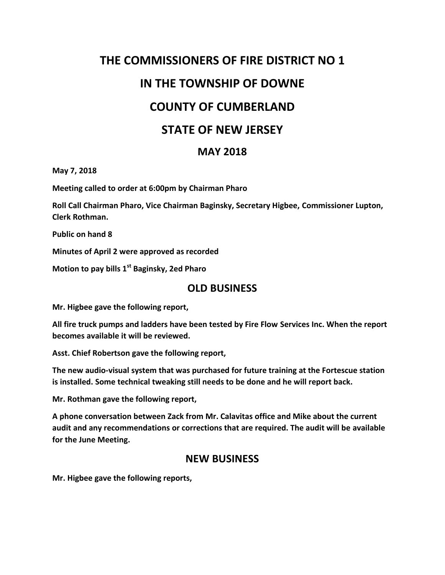# **THE COMMISSIONERS OF FIRE DISTRICT NO 1 IN THE TOWNSHIP OF DOWNE COUNTY OF CUMBERLAND STATE OF NEW JERSEY**

## **MAY 2018**

**May 7, 2018**

**Meeting called to order at 6:00pm by Chairman Pharo**

**Roll Call Chairman Pharo, Vice Chairman Baginsky, Secretary Higbee, Commissioner Lupton, Clerk Rothman.**

**Public on hand 8**

**Minutes of April 2 were approved as recorded**

**Motion to pay bills 1st Baginsky, 2ed Pharo**

# **OLD BUSINESS**

**Mr. Higbee gave the following report,**

**All fire truck pumps and ladders have been tested by Fire Flow Services Inc. When the report becomes available it will be reviewed.**

**Asst. Chief Robertson gave the following report,**

**The new audio-visual system that was purchased for future training at the Fortescue station is installed. Some technical tweaking still needs to be done and he will report back.**

**Mr. Rothman gave the following report,**

**A phone conversation between Zack from Mr. Calavitas office and Mike about the current audit and any recommendations or corrections that are required. The audit will be available for the June Meeting.**

#### **NEW BUSINESS**

**Mr. Higbee gave the following reports,**